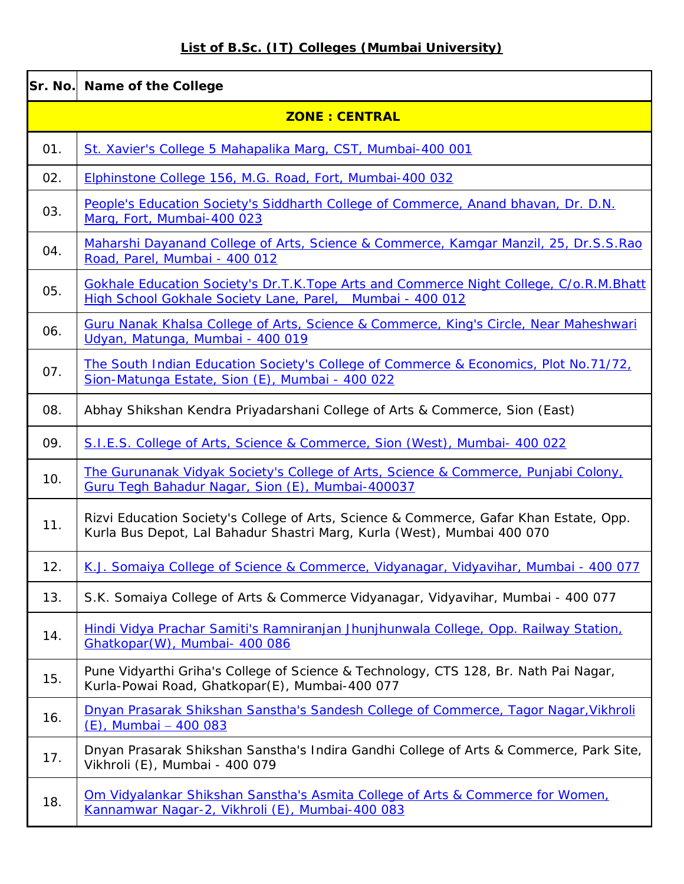## **List of B.Sc. (IT) Colleges (Mumbai University)**

| Sr. No. | <b>Name of the College</b>                                                                                                                                        |  |  |
|---------|-------------------------------------------------------------------------------------------------------------------------------------------------------------------|--|--|
|         | <b>ZONE : CENTRAL</b>                                                                                                                                             |  |  |
| 01.     | St. Xavier's College 5 Mahapalika Marg, CST, Mumbai-400 001                                                                                                       |  |  |
| 02.     | Elphinstone College 156, M.G. Road, Fort, Mumbai-400 032                                                                                                          |  |  |
| 03.     | People's Education Society's Siddharth College of Commerce, Anand bhavan, Dr. D.N.<br>Marg, Fort, Mumbai-400 023                                                  |  |  |
| 04.     | Maharshi Dayanand College of Arts, Science & Commerce, Kamgar Manzil, 25, Dr.S.S.Rao<br>Road, Parel, Mumbai - 400 012                                             |  |  |
| 05.     | Gokhale Education Society's Dr.T.K.Tope Arts and Commerce Night College, C/o.R.M.Bhatt<br>High School Gokhale Society Lane, Parel,<br>Mumbai - 400 012            |  |  |
| 06.     | Guru Nanak Khalsa College of Arts, Science & Commerce, King's Circle, Near Maheshwari<br>Udyan, Matunga, Mumbai - 400 019                                         |  |  |
| 07.     | The South Indian Education Society's College of Commerce & Economics, Plot No.71/72,<br>Sion-Matunga Estate, Sion (E), Mumbai - 400 022                           |  |  |
| 08.     | Abhay Shikshan Kendra Priyadarshani College of Arts & Commerce, Sion (East)                                                                                       |  |  |
| 09.     | S.I.E.S. College of Arts, Science & Commerce, Sion (West), Mumbai- 400 022                                                                                        |  |  |
| 10.     | The Gurunanak Vidyak Society's College of Arts, Science & Commerce, Punjabi Colony,<br>Guru Tegh Bahadur Nagar, Sion (E), Mumbai-400037                           |  |  |
| 11.     | Rizvi Education Society's College of Arts, Science & Commerce, Gafar Khan Estate, Opp.<br>Kurla Bus Depot, Lal Bahadur Shastri Marg, Kurla (West), Mumbai 400 070 |  |  |
| 12.     | K.J. Somaiya College of Science & Commerce, Vidyanagar, Vidyavihar, Mumbai - 400 077                                                                              |  |  |
| 13.     | S.K. Somaiya College of Arts & Commerce Vidyanagar, Vidyavihar, Mumbai - 400 077                                                                                  |  |  |
| 14.     | Hindi Vidya Prachar Samiti's Ramniranjan Jhunjhunwala College, Opp. Railway Station,<br>Ghatkopar(W), Mumbai- 400 086                                             |  |  |
| 15.     | Pune Vidyarthi Griha's College of Science & Technology, CTS 128, Br. Nath Pai Nagar,<br>Kurla-Powai Road, Ghatkopar(E), Mumbai-400 077                            |  |  |
| 16.     | Dnyan Prasarak Shikshan Sanstha's Sandesh College of Commerce, Tagor Nagar, Vikhroli<br>(E), Mumbai - 400 083                                                     |  |  |
| 17.     | Dnyan Prasarak Shikshan Sanstha's Indira Gandhi College of Arts & Commerce, Park Site,<br>Vikhroli (E), Mumbai - 400 079                                          |  |  |
| 18.     | Om Vidyalankar Shikshan Sanstha's Asmita College of Arts & Commerce for Women,<br>Kannamwar Nagar-2, Vikhroli (E), Mumbai-400 083                                 |  |  |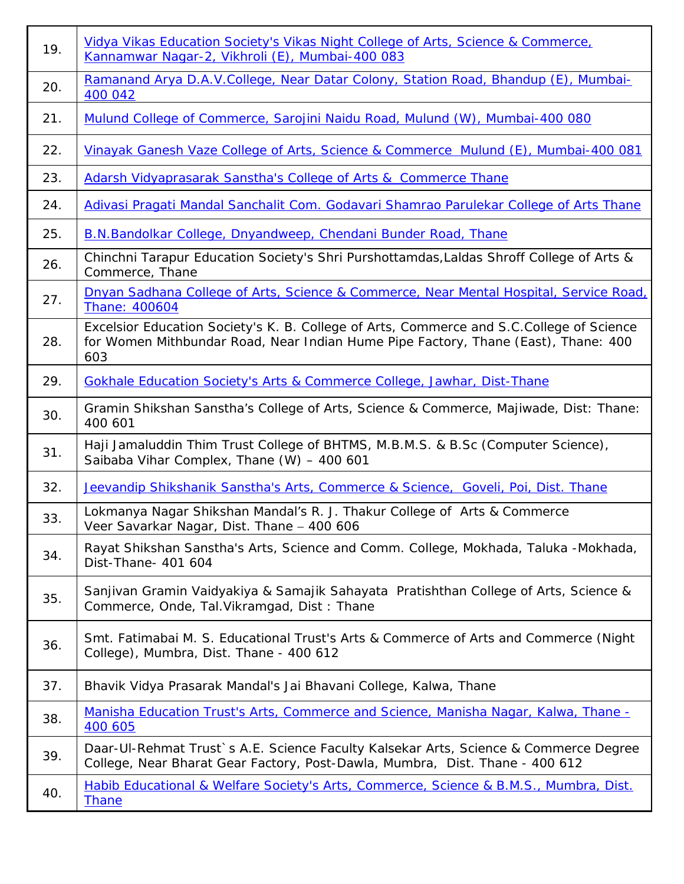| 19. | Vidya Vikas Education Society's Vikas Night College of Arts, Science & Commerce,<br>Kannamwar Nagar-2, Vikhroli (E), Mumbai-400 083                                                   |  |  |
|-----|---------------------------------------------------------------------------------------------------------------------------------------------------------------------------------------|--|--|
| 20. | Ramanand Arya D.A.V.College, Near Datar Colony, Station Road, Bhandup (E), Mumbai-<br>400 042                                                                                         |  |  |
| 21. | Mulund College of Commerce, Sarojini Naidu Road, Mulund (W), Mumbai-400 080                                                                                                           |  |  |
| 22. | Vinayak Ganesh Vaze College of Arts, Science & Commerce Mulund (E), Mumbai-400 081                                                                                                    |  |  |
| 23. | <b>Adarsh Vidyaprasarak Sanstha's College of Arts &amp; Commerce Thane</b>                                                                                                            |  |  |
| 24. | Adivasi Pragati Mandal Sanchalit Com. Godavari Shamrao Parulekar College of Arts Thane                                                                                                |  |  |
| 25. | <b>B.N.Bandolkar College, Dnyandweep, Chendani Bunder Road, Thane</b>                                                                                                                 |  |  |
| 26. | Chinchni Tarapur Education Society's Shri Purshottamdas, Laldas Shroff College of Arts &<br>Commerce, Thane                                                                           |  |  |
| 27. | Dnyan Sadhana College of Arts, Science & Commerce, Near Mental Hospital, Service Road,<br>Thane: 400604                                                                               |  |  |
| 28. | Excelsior Education Society's K. B. College of Arts, Commerce and S.C.College of Science<br>for Women Mithbundar Road, Near Indian Hume Pipe Factory, Thane (East), Thane: 400<br>603 |  |  |
| 29. | <b>Gokhale Education Society's Arts &amp; Commerce College, Jawhar, Dist-Thane</b>                                                                                                    |  |  |
| 30. | Gramin Shikshan Sanstha's College of Arts, Science & Commerce, Majiwade, Dist: Thane:<br>400 601                                                                                      |  |  |
| 31. | Haji Jamaluddin Thim Trust College of BHTMS, M.B.M.S. & B.Sc (Computer Science),<br>Saibaba Vihar Complex, Thane (W) - 400 601                                                        |  |  |
| 32. | Jeevandip Shikshanik Sanstha's Arts, Commerce & Science, Goveli, Poi, Dist. Thane                                                                                                     |  |  |
| 33. | Lokmanya Nagar Shikshan Mandal's R. J. Thakur College of Arts & Commerce<br>Veer Savarkar Nagar, Dist. Thane - 400 606                                                                |  |  |
| 34. | Rayat Shikshan Sanstha's Arts, Science and Comm. College, Mokhada, Taluka -Mokhada,<br>Dist-Thane- 401 604                                                                            |  |  |
| 35. | Sanjivan Gramin Vaidyakiya & Samajik Sahayata Pratishthan College of Arts, Science &<br>Commerce, Onde, Tal. Vikramgad, Dist: Thane                                                   |  |  |
| 36. | Smt. Fatimabai M. S. Educational Trust's Arts & Commerce of Arts and Commerce (Night<br>College), Mumbra, Dist. Thane - 400 612                                                       |  |  |
| 37. | Bhavik Vidya Prasarak Mandal's Jai Bhavani College, Kalwa, Thane                                                                                                                      |  |  |
| 38. | Manisha Education Trust's Arts, Commerce and Science, Manisha Nagar, Kalwa, Thane -<br>400 605                                                                                        |  |  |
| 39. | Daar-UI-Rehmat Trust's A.E. Science Faculty Kalsekar Arts, Science & Commerce Degree<br>College, Near Bharat Gear Factory, Post-Dawla, Mumbra, Dist. Thane - 400 612                  |  |  |
| 40. | Habib Educational & Welfare Society's Arts, Commerce, Science & B.M.S., Mumbra, Dist.<br><b>Thane</b>                                                                                 |  |  |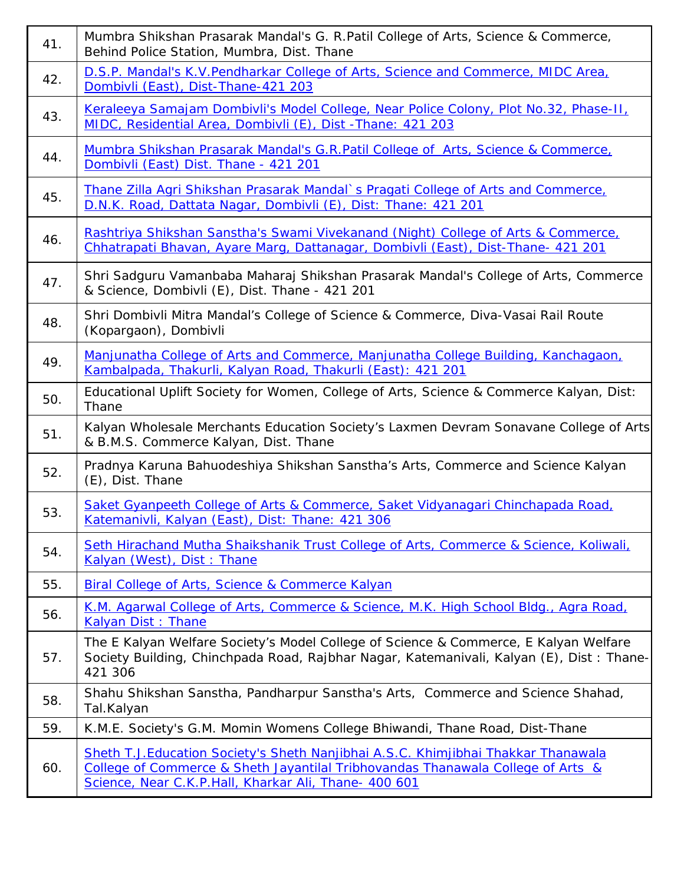| 41. | Mumbra Shikshan Prasarak Mandal's G. R. Patil College of Arts, Science & Commerce,<br>Behind Police Station, Mumbra, Dist. Thane                                                                                              |  |  |
|-----|-------------------------------------------------------------------------------------------------------------------------------------------------------------------------------------------------------------------------------|--|--|
| 42. | D.S.P. Mandal's K.V. Pendharkar College of Arts, Science and Commerce, MIDC Area,<br>Dombivli (East), Dist-Thane-421 203                                                                                                      |  |  |
| 43. | Keraleeya Samajam Dombivli's Model College, Near Police Colony, Plot No.32, Phase-II,<br>MIDC, Residential Area, Dombivli (E), Dist - Thane: 421 203                                                                          |  |  |
| 44. | Mumbra Shikshan Prasarak Mandal's G.R.Patil College of Arts, Science & Commerce,<br>Dombivli (East) Dist. Thane - 421 201                                                                                                     |  |  |
| 45. | Thane Zilla Agri Shikshan Prasarak Mandal`s Pragati College of Arts and Commerce,<br>D.N.K. Road, Dattata Nagar, Dombivli (E), Dist: Thane: 421 201                                                                           |  |  |
| 46. | Rashtriya Shikshan Sanstha's Swami Vivekanand (Night) College of Arts & Commerce,<br>Chhatrapati Bhavan, Ayare Marq, Dattanagar, Dombivli (East), Dist-Thane- 421 201                                                         |  |  |
| 47. | Shri Sadguru Vamanbaba Maharaj Shikshan Prasarak Mandal's College of Arts, Commerce<br>& Science, Dombivli (E), Dist. Thane - 421 201                                                                                         |  |  |
| 48. | Shri Dombivli Mitra Mandal's College of Science & Commerce, Diva-Vasai Rail Route<br>(Kopargaon), Dombivli                                                                                                                    |  |  |
| 49. | Manjunatha College of Arts and Commerce, Manjunatha College Building, Kanchagaon,<br>Kambalpada, Thakurli, Kalyan Road, Thakurli (East): 421 201                                                                              |  |  |
| 50. | Educational Uplift Society for Women, College of Arts, Science & Commerce Kalyan, Dist:<br>Thane                                                                                                                              |  |  |
| 51. | Kalyan Wholesale Merchants Education Society's Laxmen Devram Sonavane College of Arts<br>& B.M.S. Commerce Kalyan, Dist. Thane                                                                                                |  |  |
| 52. | Pradnya Karuna Bahuodeshiya Shikshan Sanstha's Arts, Commerce and Science Kalyan<br>(E), Dist. Thane                                                                                                                          |  |  |
| 53. | Saket Gyanpeeth College of Arts & Commerce, Saket Vidyanagari Chinchapada Road,<br>Katemanivli, Kalyan (East), Dist: Thane: 421 306                                                                                           |  |  |
| 54. | Seth Hirachand Mutha Shaikshanik Trust College of Arts, Commerce & Science, Koliwali,<br>Kalyan (West), Dist: Thane                                                                                                           |  |  |
| 55. | Biral College of Arts, Science & Commerce Kalyan                                                                                                                                                                              |  |  |
| 56. | <u>K.M. Agarwal College of Arts, Commerce &amp; Science, M.K. High School Bldg., Agra Road,</u><br><b>Kalyan Dist: Thane</b>                                                                                                  |  |  |
| 57. | The E Kalyan Welfare Society's Model College of Science & Commerce, E Kalyan Welfare<br>Society Building, Chinchpada Road, Rajbhar Nagar, Katemanivali, Kalyan (E), Dist: Thane-<br>421 306                                   |  |  |
| 58. | Shahu Shikshan Sanstha, Pandharpur Sanstha's Arts, Commerce and Science Shahad,<br>Tal.Kalyan                                                                                                                                 |  |  |
| 59. | K.M.E. Society's G.M. Momin Womens College Bhiwandi, Thane Road, Dist-Thane                                                                                                                                                   |  |  |
| 60. | Sheth T.J.Education Society's Sheth Nanjibhai A.S.C. Khimjibhai Thakkar Thanawala<br>College of Commerce & Sheth Jayantilal Tribhovandas Thanawala College of Arts &<br>Science, Near C.K.P.Hall, Kharkar Ali, Thane- 400 601 |  |  |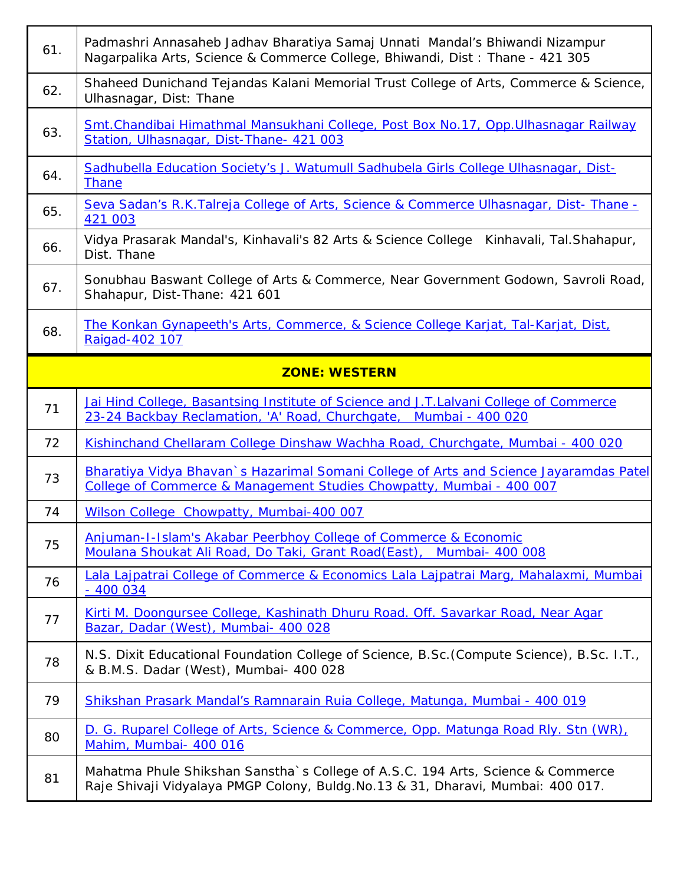| 61. | Padmashri Annasaheb Jadhav Bharatiya Samaj Unnati Mandal's Bhiwandi Nizampur<br>Nagarpalika Arts, Science & Commerce College, Bhiwandi, Dist: Thane - 421 305  |  |  |
|-----|----------------------------------------------------------------------------------------------------------------------------------------------------------------|--|--|
| 62. | Shaheed Dunichand Tejandas Kalani Memorial Trust College of Arts, Commerce & Science,<br>Ulhasnagar, Dist: Thane                                               |  |  |
| 63. | Smt.Chandibai Himathmal Mansukhani College, Post Box No.17, Opp.Ulhasnagar Railway<br>Station, Ulhasnagar, Dist-Thane- 421 003                                 |  |  |
| 64. | Sadhubella Education Society's J. Watumull Sadhubela Girls College Ulhasnagar, Dist-<br><b>Thane</b>                                                           |  |  |
| 65. | Seva Sadan's R.K.Talreja College of Arts, Science & Commerce Ulhasnagar, Dist-Thane -<br>421 003                                                               |  |  |
| 66. | Vidya Prasarak Mandal's, Kinhavali's 82 Arts & Science College<br>Kinhavali, Tal.Shahapur,<br>Dist. Thane                                                      |  |  |
| 67. | Sonubhau Baswant College of Arts & Commerce, Near Government Godown, Savroli Road,<br>Shahapur, Dist-Thane: 421 601                                            |  |  |
| 68. | The Konkan Gynapeeth's Arts, Commerce, & Science College Karjat, Tal-Karjat, Dist,<br>Raigad-402 107                                                           |  |  |
|     | <b>ZONE: WESTERN</b>                                                                                                                                           |  |  |
| 71  | Jai Hind College, Basantsing Institute of Science and J.T.Lalvani College of Commerce<br>23-24 Backbay Reclamation, 'A' Road, Churchgate, Mumbai - 400 020     |  |  |
|     |                                                                                                                                                                |  |  |
| 72  | Kishinchand Chellaram College Dinshaw Wachha Road, Churchgate, Mumbai - 400 020                                                                                |  |  |
| 73  | Bharatiya Vidya Bhavan's Hazarimal Somani College of Arts and Science Jayaramdas Patel<br>College of Commerce & Management Studies Chowpatty, Mumbai - 400 007 |  |  |
| 74  | Wilson College Chowpatty, Mumbai-400 007                                                                                                                       |  |  |
| 75  | <b>Anjuman-I-Islam's Akabar Peerbhoy College of Commerce &amp; Economic</b><br>Moulana Shoukat Ali Road, Do Taki, Grant Road (East), Mumbai- 400 008           |  |  |
| 76  | Lala Lajpatrai College of Commerce & Economics Lala Lajpatrai Marg, Mahalaxmi, Mumbai<br>$-400034$                                                             |  |  |
| 77  | Kirti M. Doongursee College, Kashinath Dhuru Road. Off. Savarkar Road, Near Agar<br>Bazar, Dadar (West), Mumbai- 400 028                                       |  |  |
| 78  | N.S. Dixit Educational Foundation College of Science, B.Sc. (Compute Science), B.Sc. I.T.,<br>& B.M.S. Dadar (West), Mumbai- 400 028                           |  |  |
| 79  | Shikshan Prasark Mandal's Ramnarain Ruia College, Matunga, Mumbai - 400 019                                                                                    |  |  |
| 80  | D. G. Ruparel College of Arts, Science & Commerce, Opp. Matunga Road Rly. Stn (WR),<br>Mahim, Mumbai- 400 016                                                  |  |  |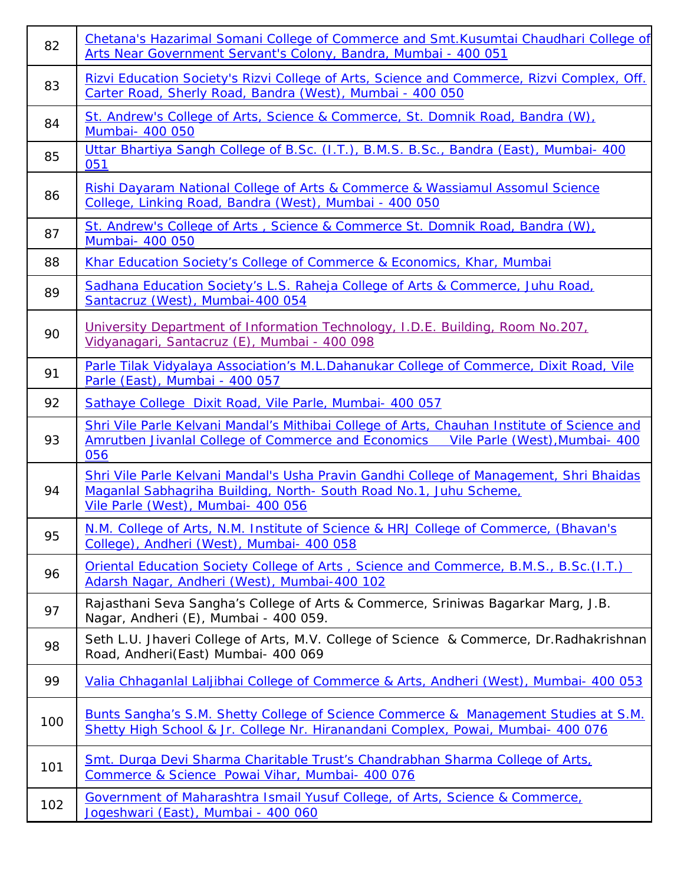| 82  | Chetana's Hazarimal Somani College of Commerce and Smt. Kusumtai Chaudhari College of<br>Arts Near Government Servant's Colony, Bandra, Mumbai - 400 051                                           |  |  |  |
|-----|----------------------------------------------------------------------------------------------------------------------------------------------------------------------------------------------------|--|--|--|
| 83  | Rizvi Education Society's Rizvi College of Arts, Science and Commerce, Rizvi Complex, Off.<br>Carter Road, Sherly Road, Bandra (West), Mumbai - 400 050                                            |  |  |  |
| 84  | St. Andrew's College of Arts, Science & Commerce, St. Domnik Road, Bandra (W),<br>Mumbai- 400 050                                                                                                  |  |  |  |
| 85  | Uttar Bhartiya Sangh College of B.Sc. (I.T.), B.M.S. B.Sc., Bandra (East), Mumbai- 400<br>051                                                                                                      |  |  |  |
| 86  | Rishi Dayaram National College of Arts & Commerce & Wassiamul Assomul Science<br>College, Linking Road, Bandra (West), Mumbai - 400 050                                                            |  |  |  |
| 87  | St. Andrew's College of Arts, Science & Commerce St. Domnik Road, Bandra (W),<br>Mumbai- 400 050                                                                                                   |  |  |  |
| 88  | Khar Education Society's College of Commerce & Economics, Khar, Mumbai                                                                                                                             |  |  |  |
| 89  | Sadhana Education Society's L.S. Raheja College of Arts & Commerce, Juhu Road,<br>Santacruz (West), Mumbai-400 054                                                                                 |  |  |  |
| 90  | University Department of Information Technology, I.D.E. Building, Room No.207,<br>Vidyanagari, Santacruz (E), Mumbai - 400 098                                                                     |  |  |  |
| 91  | Parle Tilak Vidyalaya Association's M.L.Dahanukar College of Commerce, Dixit Road, Vile<br>Parle (East), Mumbai - 400 057                                                                          |  |  |  |
| 92  | Sathaye College Dixit Road, Vile Parle, Mumbai- 400 057                                                                                                                                            |  |  |  |
| 93  | Shri Vile Parle Kelvani Mandal's Mithibai College of Arts, Chauhan Institute of Science and<br>Amrutben Jivanlal College of Commerce and Economics<br>Vile Parle (West), Mumbai- 400<br>056        |  |  |  |
| 94  | Shri Vile Parle Kelvani Mandal's Usha Pravin Gandhi College of Management, Shri Bhaidas<br>Maganlal Sabhagriha Building, North-South Road No.1, Juhu Scheme,<br>Vile Parle (West), Mumbai- 400 056 |  |  |  |
| 95  | N.M. College of Arts, N.M. Institute of Science & HRJ College of Commerce, (Bhavan's<br>College), Andheri (West), Mumbai- 400 058                                                                  |  |  |  |
| 96  | <b>Oriental Education Society College of Arts, Science and Commerce, B.M.S., B.Sc. (I.T.)</b><br>Adarsh Nagar, Andheri (West), Mumbai-400 102                                                      |  |  |  |
| 97  | Rajasthani Seva Sangha's College of Arts & Commerce, Sriniwas Bagarkar Marg, J.B.<br>Nagar, Andheri (E), Mumbai - 400 059.                                                                         |  |  |  |
| 98  | Seth L.U. Jhaveri College of Arts, M.V. College of Science & Commerce, Dr.Radhakrishnan<br>Road, Andheri(East) Mumbai- 400 069                                                                     |  |  |  |
| 99  | Valia Chhaganlal Laljibhai College of Commerce & Arts, Andheri (West), Mumbai- 400 053                                                                                                             |  |  |  |
| 100 | Bunts Sangha's S.M. Shetty College of Science Commerce & Management Studies at S.M.<br>Shetty High School & Jr. College Nr. Hiranandani Complex, Powai, Mumbai- 400 076                            |  |  |  |
| 101 | Smt. Durga Devi Sharma Charitable Trust's Chandrabhan Sharma College of Arts,<br>Commerce & Science Powai Vihar, Mumbai- 400 076                                                                   |  |  |  |
| 102 | Government of Maharashtra Ismail Yusuf College, of Arts, Science & Commerce,<br>Jogeshwari (East), Mumbai - 400 060                                                                                |  |  |  |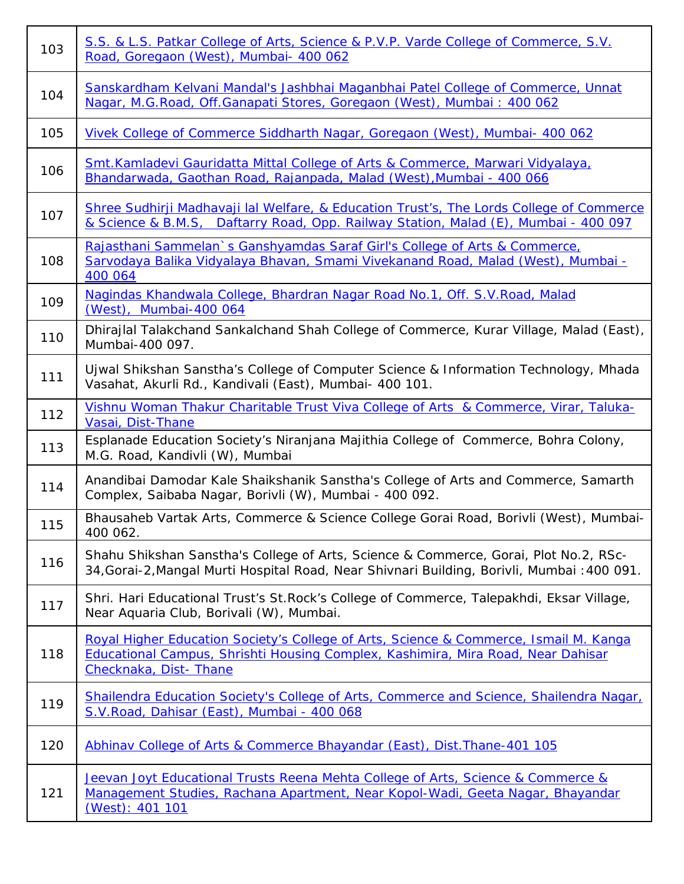| 103 | S.S. & L.S. Patkar College of Arts, Science & P.V.P. Varde College of Commerce, S.V.<br>Road, Goregaon (West), Mumbai- 400 062                                                                     |  |  |
|-----|----------------------------------------------------------------------------------------------------------------------------------------------------------------------------------------------------|--|--|
| 104 | Sanskardham Kelvani Mandal's Jashbhai Maganbhai Patel College of Commerce, Unnat<br>Nagar, M.G. Road, Off. Ganapati Stores, Goregaon (West), Mumbai: 400 062                                       |  |  |
| 105 | Vivek College of Commerce Siddharth Nagar, Goregaon (West), Mumbai- 400 062                                                                                                                        |  |  |
| 106 | Smt. Kamladevi Gauridatta Mittal College of Arts & Commerce, Marwari Vidyalaya,<br>Bhandarwada, Gaothan Road, Rajanpada, Malad (West), Mumbai - 400 066                                            |  |  |
| 107 | Shree Sudhirji Madhavaji lal Welfare, & Education Trust's, The Lords College of Commerce<br>& Science & B.M.S, Daftarry Road, Opp. Railway Station, Malad (E), Mumbai - 400 097                    |  |  |
| 108 | Rajasthani Sammelan's Ganshyamdas Saraf Girl's College of Arts & Commerce,<br>Sarvodaya Balika Vidyalaya Bhavan, Smami Vivekanand Road, Malad (West), Mumbai -<br>400 064                          |  |  |
| 109 | Nagindas Khandwala College, Bhardran Nagar Road No.1, Off. S.V. Road, Malad<br>(West), Mumbai-400 064                                                                                              |  |  |
| 110 | Dhirajlal Talakchand Sankalchand Shah College of Commerce, Kurar Village, Malad (East),<br>Mumbai-400 097.                                                                                         |  |  |
| 111 | Ujwal Shikshan Sanstha's College of Computer Science & Information Technology, Mhada<br>Vasahat, Akurli Rd., Kandivali (East), Mumbai- 400 101.                                                    |  |  |
| 112 | Vishnu Woman Thakur Charitable Trust Viva College of Arts & Commerce, Virar, Taluka-<br>Vasai, Dist-Thane                                                                                          |  |  |
| 113 | Esplanade Education Society's Niranjana Majithia College of Commerce, Bohra Colony,<br>M.G. Road, Kandivli (W), Mumbai                                                                             |  |  |
| 114 | Anandibai Damodar Kale Shaikshanik Sanstha's College of Arts and Commerce, Samarth<br>Complex, Saibaba Nagar, Borivli (W), Mumbai - 400 092.                                                       |  |  |
| 115 | Bhausaheb Vartak Arts, Commerce & Science College Gorai Road, Borivli (West), Mumbai-<br>400 062.                                                                                                  |  |  |
| 116 | Shahu Shikshan Sanstha's College of Arts, Science & Commerce, Gorai, Plot No.2, RSc-<br>34, Gorai-2, Mangal Murti Hospital Road, Near Shivnari Building, Borivli, Mumbai: 400 091.                 |  |  |
| 117 | Shri. Hari Educational Trust's St. Rock's College of Commerce, Talepakhdi, Eksar Village,<br>Near Aquaria Club, Borivali (W), Mumbai.                                                              |  |  |
| 118 | Royal Higher Education Society's College of Arts, Science & Commerce, Ismail M. Kanga<br>Educational Campus, Shrishti Housing Complex, Kashimira, Mira Road, Near Dahisar<br>Checknaka, Dist-Thane |  |  |
| 119 | Shailendra Education Society's College of Arts, Commerce and Science, Shailendra Nagar,<br>S.V. Road, Dahisar (East), Mumbai - 400 068                                                             |  |  |
| 120 | Abhinav College of Arts & Commerce Bhayandar (East), Dist. Thane-401 105                                                                                                                           |  |  |
| 121 | Jeevan Joyt Educational Trusts Reena Mehta College of Arts, Science & Commerce &<br>Management Studies, Rachana Apartment, Near Kopol-Wadi, Geeta Nagar, Bhayandar<br>(West): 401 101              |  |  |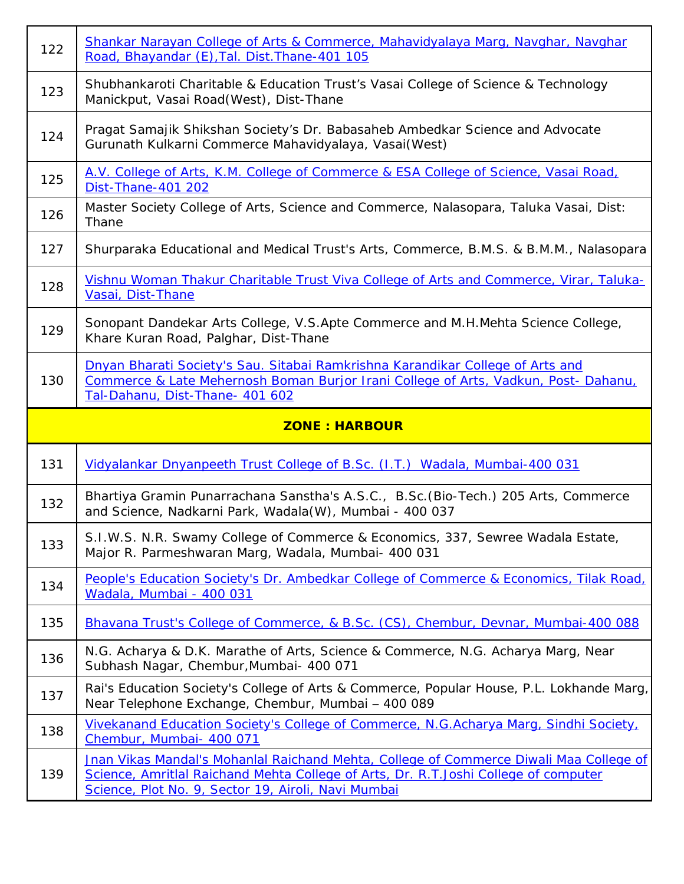| 122 | Shankar Narayan College of Arts & Commerce, Mahavidyalaya Marg, Navghar, Navghar<br>Road, Bhayandar (E), Tal. Dist. Thane-401 105                                                                       |  |
|-----|---------------------------------------------------------------------------------------------------------------------------------------------------------------------------------------------------------|--|
| 123 | Shubhankaroti Charitable & Education Trust's Vasai College of Science & Technology<br>Manickput, Vasai Road(West), Dist-Thane                                                                           |  |
| 124 | Pragat Samajik Shikshan Society's Dr. Babasaheb Ambedkar Science and Advocate<br>Gurunath Kulkarni Commerce Mahavidyalaya, Vasai(West)                                                                  |  |
| 125 | A.V. College of Arts, K.M. College of Commerce & ESA College of Science, Vasai Road,<br>Dist-Thane-401 202                                                                                              |  |
| 126 | Master Society College of Arts, Science and Commerce, Nalasopara, Taluka Vasai, Dist:<br>Thane                                                                                                          |  |
| 127 | Shurparaka Educational and Medical Trust's Arts, Commerce, B.M.S. & B.M.M., Nalasopara                                                                                                                  |  |
| 128 | Vishnu Woman Thakur Charitable Trust Viva College of Arts and Commerce, Virar, Taluka-<br>Vasai, Dist-Thane                                                                                             |  |
| 129 | Sonopant Dandekar Arts College, V.S.Apte Commerce and M.H.Mehta Science College,<br>Khare Kuran Road, Palghar, Dist-Thane                                                                               |  |
| 130 | Dnyan Bharati Society's Sau. Sitabai Ramkrishna Karandikar College of Arts and<br>Commerce & Late Mehernosh Boman Burjor Irani College of Arts, Vadkun, Post-Dahanu,<br>Tal-Dahanu, Dist-Thane- 401 602 |  |
|     |                                                                                                                                                                                                         |  |
|     | <b>ZONE: HARBOUR</b>                                                                                                                                                                                    |  |
| 131 | Vidyalankar Dnyanpeeth Trust College of B.Sc. (I.T.) Wadala, Mumbai-400 031                                                                                                                             |  |
| 132 | Bhartiya Gramin Punarrachana Sanstha's A.S.C., B.Sc. (Bio-Tech.) 205 Arts, Commerce<br>and Science, Nadkarni Park, Wadala(W), Mumbai - 400 037                                                          |  |
| 133 | S.I.W.S. N.R. Swamy College of Commerce & Economics, 337, Sewree Wadala Estate,<br>Major R. Parmeshwaran Marq, Wadala, Mumbai- 400 031                                                                  |  |
| 134 | People's Education Society's Dr. Ambedkar College of Commerce & Economics, Tilak Road,<br>Wadala, Mumbai - 400 031                                                                                      |  |
| 135 | Bhavana Trust's College of Commerce, & B.Sc. (CS), Chembur, Devnar, Mumbai-400 088                                                                                                                      |  |
| 136 | N.G. Acharya & D.K. Marathe of Arts, Science & Commerce, N.G. Acharya Marg, Near<br>Subhash Nagar, Chembur, Mumbai- 400 071                                                                             |  |
| 137 | Rai's Education Society's College of Arts & Commerce, Popular House, P.L. Lokhande Marg,<br>Near Telephone Exchange, Chembur, Mumbai - 400 089                                                          |  |
| 138 | Vivekanand Education Society's College of Commerce, N.G.Acharya Marg, Sindhi Society,<br>Chembur, Mumbai- 400 071                                                                                       |  |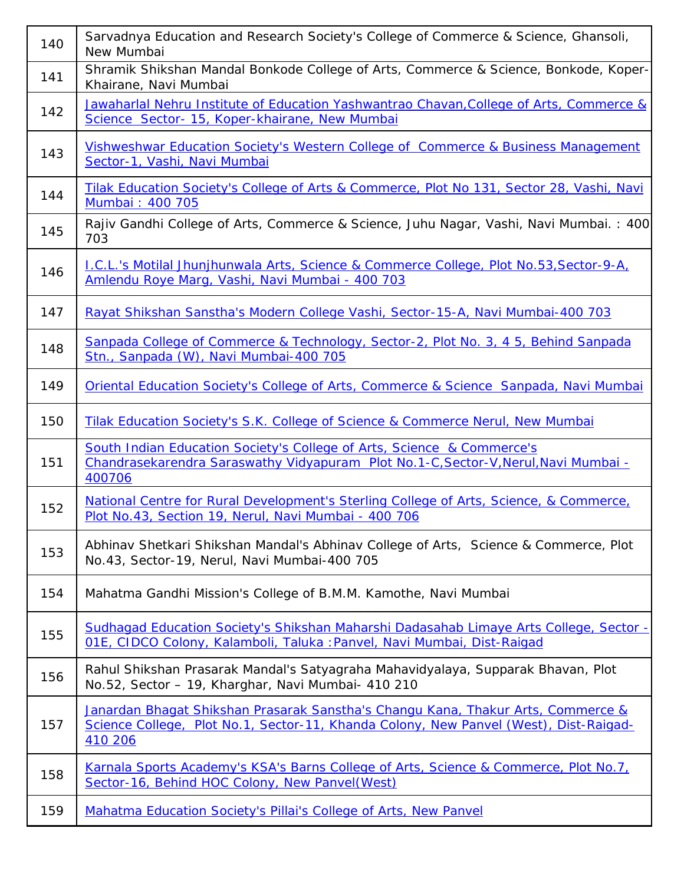| 140 | Sarvadnya Education and Research Society's College of Commerce & Science, Ghansoli,<br>New Mumbai                                                                                    |  |
|-----|--------------------------------------------------------------------------------------------------------------------------------------------------------------------------------------|--|
| 141 | Shramik Shikshan Mandal Bonkode College of Arts, Commerce & Science, Bonkode, Koper-<br>Khairane, Navi Mumbai                                                                        |  |
| 142 | Jawaharlal Nehru Institute of Education Yashwantrao Chavan, College of Arts, Commerce &<br>Science Sector- 15, Koper-khairane, New Mumbai                                            |  |
| 143 | Vishweshwar Education Society's Western College of Commerce & Business Management<br>Sector-1, Vashi, Navi Mumbai                                                                    |  |
| 144 | Tilak Education Society's College of Arts & Commerce, Plot No 131, Sector 28, Vashi, Navi<br>Mumbai: 400 705                                                                         |  |
| 145 | Rajiv Gandhi College of Arts, Commerce & Science, Juhu Nagar, Vashi, Navi Mumbai.: 400<br>703                                                                                        |  |
| 146 | I.C.L.'s Motilal Jhunjhunwala Arts, Science & Commerce College, Plot No.53, Sector-9-A.<br>Amlendu Roye Marg, Vashi, Navi Mumbai - 400 703                                           |  |
| 147 | Rayat Shikshan Sanstha's Modern College Vashi, Sector-15-A, Navi Mumbai-400 703                                                                                                      |  |
| 148 | Sanpada College of Commerce & Technology, Sector-2, Plot No. 3, 4 5, Behind Sanpada<br>Stn., Sanpada (W), Navi Mumbai-400 705                                                        |  |
| 149 | <b>Oriental Education Society's College of Arts, Commerce &amp; Science Sanpada, Navi Mumbai</b>                                                                                     |  |
| 150 | Tilak Education Society's S.K. College of Science & Commerce Nerul, New Mumbai                                                                                                       |  |
| 151 | South Indian Education Society's College of Arts, Science & Commerce's<br>Chandrasekarendra Saraswathy Vidyapuram Plot No.1-C, Sector-V, Nerul, Navi Mumbai -<br>400706              |  |
| 152 | National Centre for Rural Development's Sterling College of Arts, Science, & Commerce,<br>Plot No.43, Section 19, Nerul, Navi Mumbai - 400 706                                       |  |
| 153 | Abhinav Shetkari Shikshan Mandal's Abhinav College of Arts, Science & Commerce, Plot<br>No.43, Sector-19, Nerul, Navi Mumbai-400 705                                                 |  |
| 154 | Mahatma Gandhi Mission's College of B.M.M. Kamothe, Navi Mumbai                                                                                                                      |  |
| 155 | Sudhagad Education Society's Shikshan Maharshi Dadasahab Limaye Arts College, Sector -<br>01E, CIDCO Colony, Kalamboli, Taluka: Panvel, Navi Mumbai, Dist-Raigad                     |  |
| 156 | Rahul Shikshan Prasarak Mandal's Satyagraha Mahavidyalaya, Supparak Bhavan, Plot<br>No.52, Sector - 19, Kharghar, Navi Mumbai- 410 210                                               |  |
| 157 | Janardan Bhagat Shikshan Prasarak Sanstha's Changu Kana, Thakur Arts, Commerce &<br>Science College, Plot No.1, Sector-11, Khanda Colony, New Panvel (West), Dist-Raigad-<br>410 206 |  |
| 158 | Karnala Sports Academy's KSA's Barns College of Arts, Science & Commerce, Plot No.7,<br>Sector-16, Behind HOC Colony, New Panvel(West)                                               |  |
| 159 | Mahatma Education Society's Pillai's College of Arts, New Panvel                                                                                                                     |  |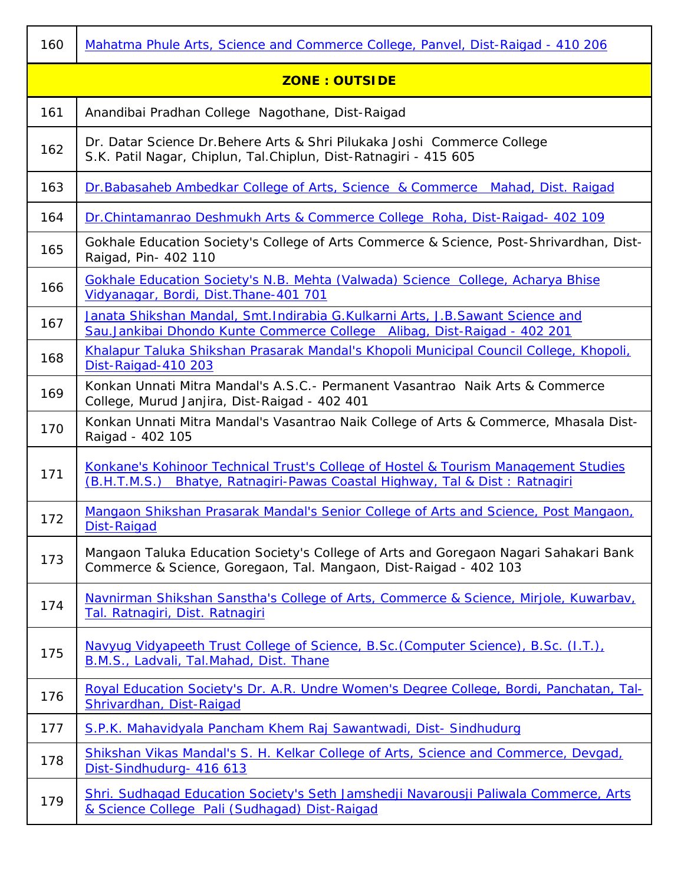| 160                  | Mahatma Phule Arts, Science and Commerce College, Panvel, Dist-Raigad - 410 206                                                                                                  |  |  |
|----------------------|----------------------------------------------------------------------------------------------------------------------------------------------------------------------------------|--|--|
| <b>ZONE: OUTSIDE</b> |                                                                                                                                                                                  |  |  |
| 161                  | Anandibai Pradhan College Nagothane, Dist-Raigad                                                                                                                                 |  |  |
| 162                  | Dr. Datar Science Dr. Behere Arts & Shri Pilukaka Joshi Commerce College<br>S.K. Patil Nagar, Chiplun, Tal.Chiplun, Dist-Ratnagiri - 415 605                                     |  |  |
| 163                  | Dr. Babasaheb Ambedkar College of Arts, Science & Commerce Mahad, Dist. Raigad                                                                                                   |  |  |
| 164                  | Dr.Chintamanrao Deshmukh Arts & Commerce College Roha, Dist-Raigad- 402 109                                                                                                      |  |  |
| 165                  | Gokhale Education Society's College of Arts Commerce & Science, Post-Shrivardhan, Dist-<br>Raigad, Pin- 402 110                                                                  |  |  |
| 166                  | <b>Gokhale Education Society's N.B. Mehta (Valwada) Science College, Acharya Bhise</b><br>Vidyanagar, Bordi, Dist. Thane-401 701                                                 |  |  |
| 167                  | Janata Shikshan Mandal, Smt. Indirabia G. Kulkarni Arts, J. B. Sawant Science and<br>Sau.Jankibai Dhondo Kunte Commerce College Alibag, Dist-Raigad - 402 201                    |  |  |
| 168                  | Khalapur Taluka Shikshan Prasarak Mandal's Khopoli Municipal Council College, Khopoli,<br>Dist-Raigad-410 203                                                                    |  |  |
| 169                  | Konkan Unnati Mitra Mandal's A.S.C.- Permanent Vasantrao Naik Arts & Commerce<br>College, Murud Janjira, Dist-Raigad - 402 401                                                   |  |  |
| 170                  | Konkan Unnati Mitra Mandal's Vasantrao Naik College of Arts & Commerce, Mhasala Dist-<br>Raigad - 402 105                                                                        |  |  |
| 171                  | <b>Konkane's Kohinoor Technical Trust's College of Hostel &amp; Tourism Management Studies</b><br>Bhatye, Ratnagiri-Pawas Coastal Highway, Tal & Dist: Ratnagiri<br>(B.H.T.M.S.) |  |  |
| 172                  | Mangaon Shikshan Prasarak Mandal's Senior College of Arts and Science, Post Mangaon,<br><b>Dist-Raigad</b>                                                                       |  |  |
| 173                  | Mangaon Taluka Education Society's College of Arts and Goregaon Nagari Sahakari Bank<br>Commerce & Science, Goregaon, Tal. Mangaon, Dist-Raigad - 402 103                        |  |  |
| 174                  | Navnirman Shikshan Sanstha's College of Arts, Commerce & Science, Mirjole, Kuwarbay,<br>Tal. Ratnagiri, Dist. Ratnagiri                                                          |  |  |
| 175                  | Navyug Vidyapeeth Trust College of Science, B.Sc. (Computer Science), B.Sc. (I.T.),<br>B.M.S., Ladvali, Tal.Mahad, Dist. Thane                                                   |  |  |
| 176                  | Royal Education Society's Dr. A.R. Undre Women's Degree College, Bordi, Panchatan, Tal-<br>Shrivardhan, Dist-Raigad                                                              |  |  |
| 177                  | S.P.K. Mahavidyala Pancham Khem Raj Sawantwadi, Dist-Sindhudurg                                                                                                                  |  |  |
| 178                  | Shikshan Vikas Mandal's S. H. Kelkar College of Arts, Science and Commerce, Devgad,<br>Dist-Sindhudurg- 416 613                                                                  |  |  |
| 179                  | Shri. Sudhagad Education Society's Seth Jamshedji Navarousji Paliwala Commerce, Arts<br>& Science College Pali (Sudhagad) Dist-Raigad                                            |  |  |